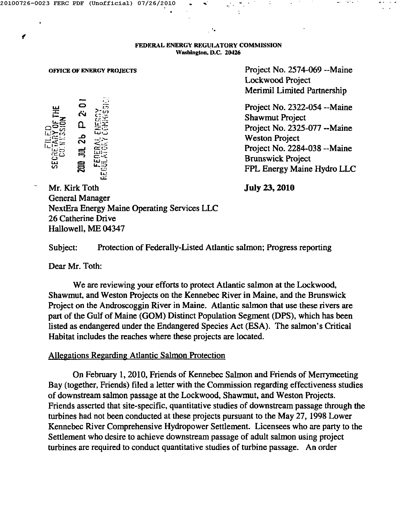### FEDERAL ENERGY REGULATORY COMMISSION Washington, D.C. 20426

", '

#### **OFFICE OF ENERGY PROJECTS**

Project No. 2574-069 --Maine Lockwood Project Merimil Limited Partnership

Project No. 2322-054 --Maine Shawmut Project Project No. 2325-077 --Maine Weston Project Project No. 2284-038 --Maine Brunswick Project FPL Energy Maine Hydro LLC

Mr. Kirk Toth **July** 23, **2010** General Manager NextEra Energy Maine Operating Services LLC 26 Catherine Drive Hallowell, ME 04347

Subject: Protection of Federally-Listed Atlantic salmon; Progress reporting

Dear Mr. Toth:

We are reviewing your efforts to protect Atlantic salmon at the Lockwood, Shawmut, and Weston Projects on the Kennebec River in Maine, and the Brunswick Project on the Androscoggin River in Maine. Atlantic salmon that use these rivers are part of the Gulf of Maine (GOM) Distinct Population Segment (DPS), which has been listed as endangered under the Endangered Species Act (ESA). The salmon's Critical Habitat includes the reaches where these projects are located.

## Allegations Regarding Atlantic Salmon Protection

On February 1,2010, Friends of Kennebec Salmon and Friends of Merrymeeting Bay (together, Friends) filed a letter with the Commission regarding effectiveness studies of downstream salmon passage at the Lockwood, Shawmut, and Weston Projects. Friends asserted that site-specific, quantitative studies of downstream passage through the turbines had not been conducted at these projects pursuant to the May 27, 1998 Lower Kennebec River Comprehensive Hydropower Settlement. Licensees who are party to the Settlement who desire to achieve downstream passage of adult salmon using project turbines are required to conduct quantitative studies of turbine passage. An order

*f*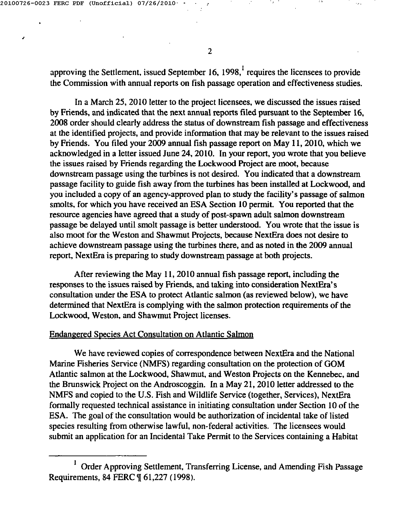$\overline{ }$ 

2

approving the Settlement, issued September 16, 1998, $<sup>1</sup>$  requires the licensees to provide</sup> the Commission with annual reports on fish passage operation and effectiveness studies.

In a March 25, 2010 letter to the project licensees, we discussed the issues raised by Friends, and indicated that the next annual reports filed pursuant to the September 16, 2008 order should clearly address the status of downstream fish passage and effectiveness at the identified projects, and provide information that may be relevant to the issues raised by Friends. You filed your 2009 annual fish passage report on May 11, 2010, which we acknowledged in a letter issued June 24, 2010. In your report, you wrote that you believe the issues raised by Friends regarding the Lockwood Project are moot, because downstream passage using the turbines is not desired. You indicated that a downstream passage facility to guide fish away from the turbines has been installed at Lockwood, and you included a copy of an agency-approved plan to study the facility's passage of salmon smolts, for which you have received an ESA Section 10 permit. You reported that the resource agencies have agreed that a study of post-spawn adult salmon downstream passage be delayed until smolt passage is better understood. You wrote that the issue is also moot for the Weston and Shawmut Projects, because NextEra does not desire to achieve downstream passage using the turbines there, and as noted in the 2009 annual report, NextEra is preparing to study downstream passage at both projects.

After reviewing the May 11,2010 annual fish passage report, including the responses to the issues raised by Friends, and taking into consideration NextEra's consultation under the ESA to protect Atlantic salmon (as reviewed below), we have determined that NextEra is complying with the salmon protection requirements of the Lockwood, Weston, and Shawmut Project licenses.

## Endangered Species Act Consultation on Atlantic Salmon

We have reviewed copies of correspondence between NextEra and the National Marine Fisheries Service (NMFS) regarding consultation on the protection of GOM Atlantic salmon at the Lockwood, Shawmut, and Weston Projects on the Kennebec, and the Brunswick Project on the Androscoggin. In a May 21,2010 letter addressed to the NMFS and copied to the U.S. Fish and Wildlife Service (together, Services), NextEra formally requested technical assistance in initiating consultation under Section 10 of the ESA. The goal of the consultation would be authorization of incidental take of listed species resulting from otherwise lawful, non-federal activities. The licensees would submit an application for an Incidental Take Permit to the Services containing a Habitat

 $1$  Order Approving Settlement, Transferring License, and Amending Fish Passage Requirements, 84 FERC ¶ 61,227 (1998).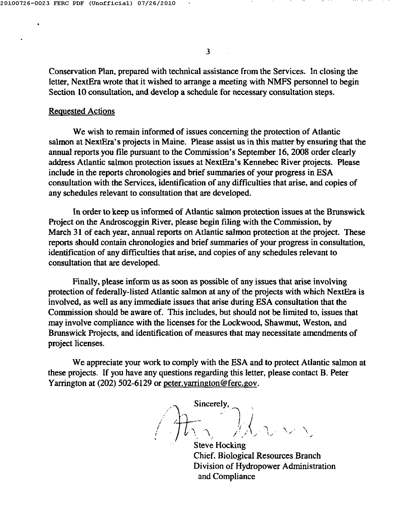3

Conservation Plan, prepared with technical assistance from the Services. In closing the letter, NextEra wrote that it wished to arrange a meeting with NMFS personnel to begin Section 10 consultation, and develop a schedule for necessary consultation steps.

# Requested Actions

We wish to remain informed of issues concerning the protection of Atlantic salmon at NextEra's projects in Maine. Please assist us in this matter by ensuring that the annual reports you file pursuant to the Commission's September 16,2008 order clearly address Atlantic salmon protection issues at NextEra's Kennebec River projects. Please include in the reports chronologies and brief summaries of your progress in ESA consultation with the Services, identification of any difficulties that arise, and copies of any schedules relevant to consultation that are developed.

In order to keep us informed of Atlantic salmon protection issues at the Brunswick Project on the Androscoggin River, please begin filing with the Commission, by March 31 of each year, annual reports on Atlantic salmon protection at the project. These reports should contain chronologies and brief summaries of your progress in consultation, identification of any difficulties that arise, and copies of any schedules relevant to consultation that are developed.

Finally, please inform us as soon as possible of any issues that arise involving protection of federally-listed Atlantic salmon at any of the projects with which NextEra is involved, as well as any immediate issues that arise during ESA consultation that the Commission should be aware of. This includes, but should not be limited to, issues that may involve compliance with the licenses for the Lockwood, Shawmut, Weston, and Brunswick Projects, and identification of measures that may necessitate amendments of project licenses.

We appreciate your work to comply with the ESA and to protect Atlantic salmon at these projects. If you have any questions regarding this letter, please contact B. Peter Yarrington at (202) 502-6129 or [peter.yarrington@ferc.gov.](mailto:peter.yarrington@ferc.gov.)

Sincerely. */ / .-- /, I """\* ,  $\mu \sim \mu \sim \mu \sim \mu \sim \mu \sim \mu$ <sup>I</sup> *I <sup>I</sup> ./ ,/* <sup>J</sup> .  $\sqrt{2}$  .  $\sqrt{2}$ 

Steve Hocking Chief. Biological Resources Branch Division of Hydropower Administration and Compliance